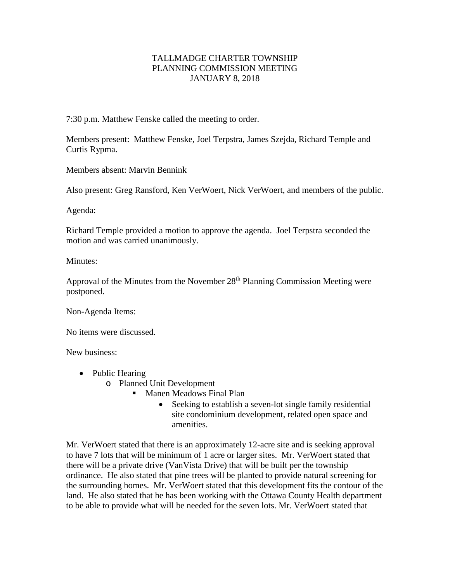## TALLMADGE CHARTER TOWNSHIP PLANNING COMMISSION MEETING JANUARY 8, 2018

7:30 p.m. Matthew Fenske called the meeting to order.

Members present: Matthew Fenske, Joel Terpstra, James Szejda, Richard Temple and Curtis Rypma.

Members absent: Marvin Bennink

Also present: Greg Ransford, Ken VerWoert, Nick VerWoert, and members of the public.

Agenda:

Richard Temple provided a motion to approve the agenda. Joel Terpstra seconded the motion and was carried unanimously.

Minutes:

Approval of the Minutes from the November  $28<sup>th</sup>$  Planning Commission Meeting were postponed.

Non-Agenda Items:

No items were discussed.

New business:

- Public Hearing
	- o Planned Unit Development
		- **Manen Meadows Final Plan** 
			- Seeking to establish a seven-lot single family residential site condominium development, related open space and amenities.

Mr. VerWoert stated that there is an approximately 12-acre site and is seeking approval to have 7 lots that will be minimum of 1 acre or larger sites. Mr. VerWoert stated that there will be a private drive (VanVista Drive) that will be built per the township ordinance. He also stated that pine trees will be planted to provide natural screening for the surrounding homes. Mr. VerWoert stated that this development fits the contour of the land. He also stated that he has been working with the Ottawa County Health department to be able to provide what will be needed for the seven lots. Mr. VerWoert stated that